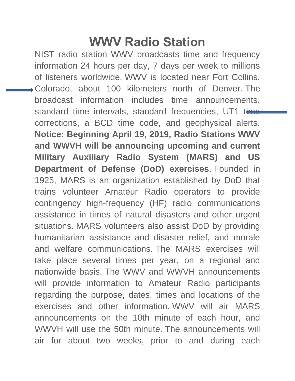## **WWV Radio Station**

NIST radio station WWV broadcasts time and frequency information 24 hours per day, 7 days per week to millions of listeners worldwide. WWV is located near Fort Collins, Colorado, about 100 kilometers north of Denver. The broadcast information includes time announcements, standard time intervals, standard frequencies, UT1 time corrections, a BCD time code, and geophysical alerts. **Notice: Beginning April 19, 2019, Radio Stations WWV and WWVH will be announcing upcoming and current Military Auxiliary Radio System (MARS) and US Department of Defense (DoD) exercises**. Founded in 1925, MARS is an organization established by DoD that trains volunteer Amateur Radio operators to provide contingency high-frequency (HF) radio communications assistance in times of natural disasters and other urgent situations. MARS volunteers also assist DoD by providing humanitarian assistance and disaster relief, and morale and welfare communications. The MARS exercises will take place several times per year, on a regional and nationwide basis. The WWV and WWVH announcements will provide information to Amateur Radio participants regarding the purpose, dates, times and locations of the exercises and other information. WWV will air MARS announcements on the 10th minute of each hour, and WWVH will use the 50th minute. The announcements will air for about two weeks, prior to and during each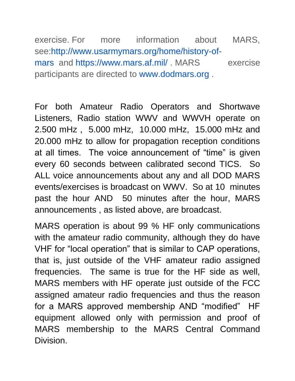exercise. For more information about MARS, see[:http://www.usarmymars.org/home/history-of](http://www.usarmymars.org/home/history-of-mars)[mars](http://www.usarmymars.org/home/history-of-mars) and <https://www.mars.af.mil/> . MARS exercise participants are directed to [www.dodmars.org](http://www.dodmars.org/) .

For both Amateur Radio Operators and Shortwave Listeners, Radio station WWV and WWVH operate on 2.500 mHz , 5.000 mHz, 10.000 mHz, 15.000 mHz and 20.000 mHz to allow for propagation reception conditions at all times. The voice announcement of "time" is given every 60 seconds between calibrated second TICS. So ALL voice announcements about any and all DOD MARS events/exercises is broadcast on WWV. So at 10 minutes past the hour AND 50 minutes after the hour, MARS announcements , as listed above, are broadcast.

MARS operation is about 99 % HF only communications with the amateur radio community, although they do have VHF for "local operation" that is similar to CAP operations, that is, just outside of the VHF amateur radio assigned frequencies. The same is true for the HF side as well, MARS members with HF operate just outside of the FCC assigned amateur radio frequencies and thus the reason for a MARS approved membership AND "modified" HF equipment allowed only with permission and proof of MARS membership to the MARS Central Command Division.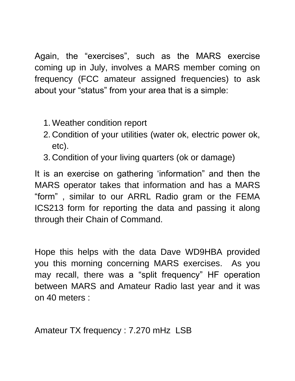Again, the "exercises", such as the MARS exercise coming up in July, involves a MARS member coming on frequency (FCC amateur assigned frequencies) to ask about your "status" from your area that is a simple:

- 1. Weather condition report
- 2. Condition of your utilities (water ok, electric power ok, etc).
- 3. Condition of your living quarters (ok or damage)

It is an exercise on gathering 'information" and then the MARS operator takes that information and has a MARS "form" , similar to our ARRL Radio gram or the FEMA ICS213 form for reporting the data and passing it along through their Chain of Command.

Hope this helps with the data Dave WD9HBA provided you this morning concerning MARS exercises. As you may recall, there was a "split frequency" HF operation between MARS and Amateur Radio last year and it was on 40 meters :

Amateur TX frequency : 7.270 mHz LSB